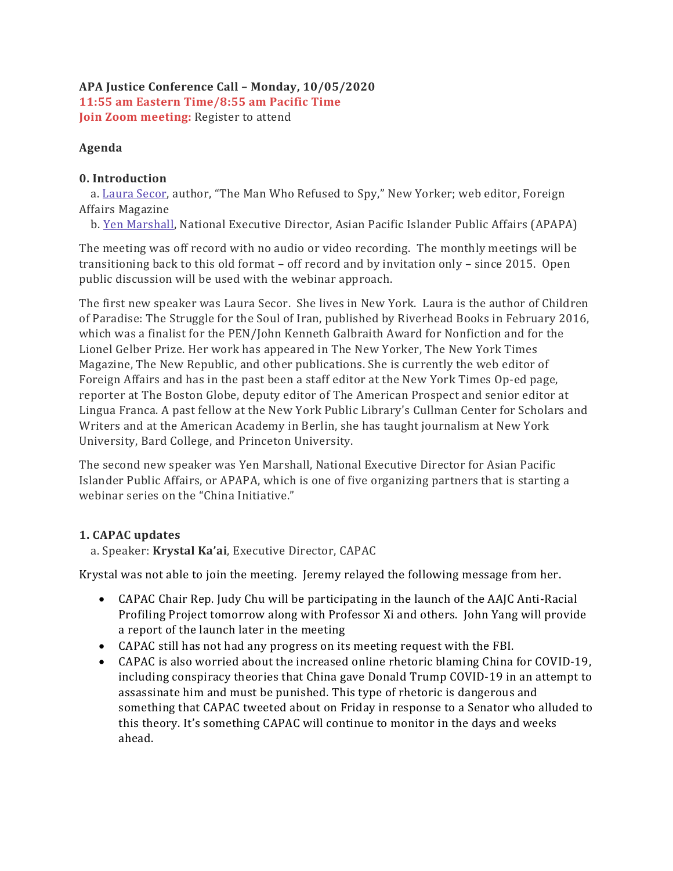#### APA Justice Conference Call – Monday, 10/05/2020 11:55 am Eastern Time/8:55 am Pacific Time Join Zoom meeting: Register to attend

### Agenda

## 0. Introduction

 a. Laura Secor, author, "The Man Who Refused to Spy," New Yorker; web editor, Foreign Affairs Magazine

b. Yen Marshall, National Executive Director, Asian Pacific Islander Public Affairs (APAPA)

The meeting was off record with no audio or video recording. The monthly meetings will be transitioning back to this old format – off record and by invitation only – since 2015. Open public discussion will be used with the webinar approach.

The first new speaker was Laura Secor. She lives in New York. Laura is the author of Children of Paradise: The Struggle for the Soul of Iran, published by Riverhead Books in February 2016, which was a finalist for the PEN/John Kenneth Galbraith Award for Nonfiction and for the Lionel Gelber Prize. Her work has appeared in The New Yorker, The New York Times Magazine, The New Republic, and other publications. She is currently the web editor of Foreign Affairs and has in the past been a staff editor at the New York Times Op-ed page, reporter at The Boston Globe, deputy editor of The American Prospect and senior editor at Lingua Franca. A past fellow at the New York Public Library's Cullman Center for Scholars and Writers and at the American Academy in Berlin, she has taught journalism at New York University, Bard College, and Princeton University.

The second new speaker was Yen Marshall, National Executive Director for Asian Pacific Islander Public Affairs, or APAPA, which is one of five organizing partners that is starting a webinar series on the "China Initiative."

# 1. CAPAC updates

a. Speaker: Krystal Ka'ai, Executive Director, CAPAC

Krystal was not able to join the meeting. Jeremy relayed the following message from her.

- CAPAC Chair Rep. Judy Chu will be participating in the launch of the AAJC Anti-Racial Profiling Project tomorrow along with Professor Xi and others. John Yang will provide a report of the launch later in the meeting
- CAPAC still has not had any progress on its meeting request with the FBI.
- CAPAC is also worried about the increased online rhetoric blaming China for COVID-19, including conspiracy theories that China gave Donald Trump COVID-19 in an attempt to assassinate him and must be punished. This type of rhetoric is dangerous and something that CAPAC tweeted about on Friday in response to a Senator who alluded to this theory. It's something CAPAC will continue to monitor in the days and weeks ahead.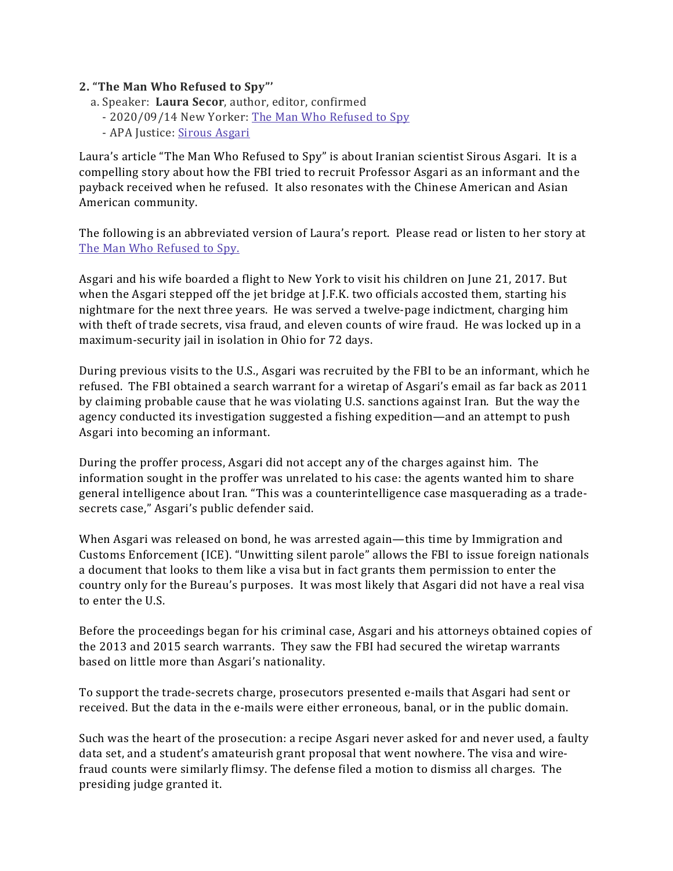#### 2. "The Man Who Refused to Spy"'

- a. Speaker: Laura Secor, author, editor, confirmed
	- 2020/09/14 New Yorker: The Man Who Refused to Spy
	- APA Justice: Sirous Asgari

Laura's article "The Man Who Refused to Spy" is about Iranian scientist Sirous Asgari. It is a compelling story about how the FBI tried to recruit Professor Asgari as an informant and the payback received when he refused. It also resonates with the Chinese American and Asian American community.

The following is an abbreviated version of Laura's report. Please read or listen to her story at The Man Who Refused to Spy.

Asgari and his wife boarded a flight to New York to visit his children on June 21, 2017. But when the Asgari stepped off the jet bridge at J.F.K. two officials accosted them, starting his nightmare for the next three years. He was served a twelve-page indictment, charging him with theft of trade secrets, visa fraud, and eleven counts of wire fraud. He was locked up in a maximum-security jail in isolation in Ohio for 72 days.

During previous visits to the U.S., Asgari was recruited by the FBI to be an informant, which he refused. The FBI obtained a search warrant for a wiretap of Asgari's email as far back as 2011 by claiming probable cause that he was violating U.S. sanctions against Iran. But the way the agency conducted its investigation suggested a fishing expedition—and an attempt to push Asgari into becoming an informant.

During the proffer process, Asgari did not accept any of the charges against him. The information sought in the proffer was unrelated to his case: the agents wanted him to share general intelligence about Iran. "This was a counterintelligence case masquerading as a tradesecrets case," Asgari's public defender said.

When Asgari was released on bond, he was arrested again—this time by Immigration and Customs Enforcement (ICE). "Unwitting silent parole" allows the FBI to issue foreign nationals a document that looks to them like a visa but in fact grants them permission to enter the country only for the Bureau's purposes. It was most likely that Asgari did not have a real visa to enter the U.S.

Before the proceedings began for his criminal case, Asgari and his attorneys obtained copies of the 2013 and 2015 search warrants. They saw the FBI had secured the wiretap warrants based on little more than Asgari's nationality.

To support the trade-secrets charge, prosecutors presented e-mails that Asgari had sent or received. But the data in the e-mails were either erroneous, banal, or in the public domain.

Such was the heart of the prosecution: a recipe Asgari never asked for and never used, a faulty data set, and a student's amateurish grant proposal that went nowhere. The visa and wirefraud counts were similarly flimsy. The defense filed a motion to dismiss all charges. The presiding judge granted it.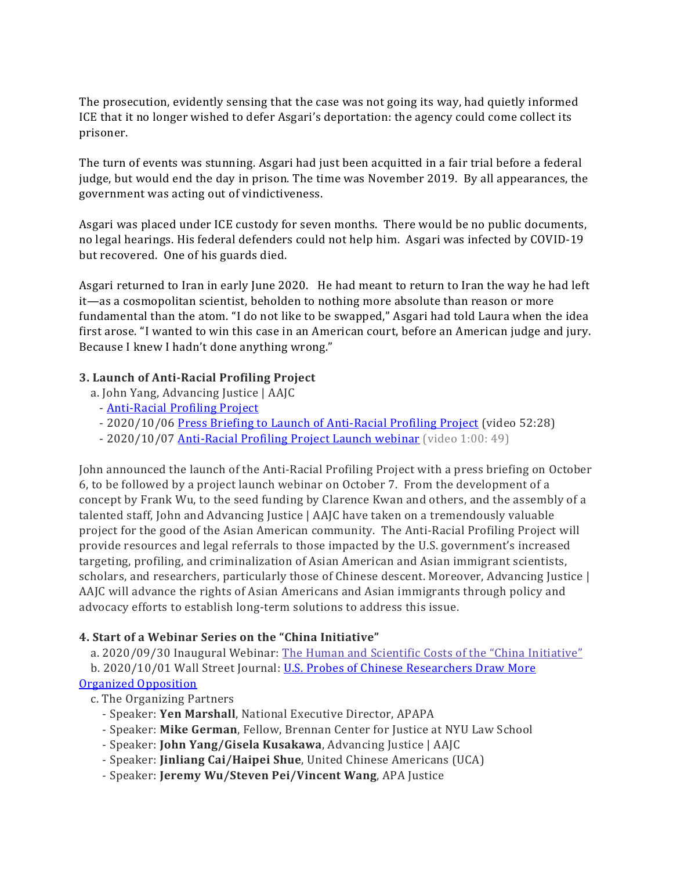The prosecution, evidently sensing that the case was not going its way, had quietly informed ICE that it no longer wished to defer Asgari's deportation: the agency could come collect its prisoner.

The turn of events was stunning. Asgari had just been acquitted in a fair trial before a federal judge, but would end the day in prison. The time was November 2019. By all appearances, the government was acting out of vindictiveness.

Asgari was placed under ICE custody for seven months. There would be no public documents, no legal hearings. His federal defenders could not help him. Asgari was infected by COVID-19 but recovered. One of his guards died.

Asgari returned to Iran in early June 2020. He had meant to return to Iran the way he had left it—as a cosmopolitan scientist, beholden to nothing more absolute than reason or more fundamental than the atom. "I do not like to be swapped," Asgari had told Laura when the idea first arose. "I wanted to win this case in an American court, before an American judge and jury. Because I knew I hadn't done anything wrong."

### 3. Launch of Anti-Racial Profiling Project

- a. John Yang, Advancing Justice | AAJC
	- Anti-Racial Profiling Project
	- 2020/10/06 Press Briefing to Launch of Anti-Racial Profiling Project (video 52:28)
	- 2020/10/07 **Anti-Racial Profiling Project Launch webinar** (video 1:00: 49)

John announced the launch of the Anti-Racial Profiling Project with a press briefing on October 6, to be followed by a project launch webinar on October 7. From the development of a concept by Frank Wu, to the seed funding by Clarence Kwan and others, and the assembly of a talented staff, John and Advancing Justice | AAJC have taken on a tremendously valuable project for the good of the Asian American community. The Anti-Racial Profiling Project will provide resources and legal referrals to those impacted by the U.S. government's increased targeting, profiling, and criminalization of Asian American and Asian immigrant scientists, scholars, and researchers, particularly those of Chinese descent. Moreover, Advancing Justice | AAJC will advance the rights of Asian Americans and Asian immigrants through policy and advocacy efforts to establish long-term solutions to address this issue.

#### 4. Start of a Webinar Series on the "China Initiative"

a. 2020/09/30 Inaugural Webinar: The Human and Scientific Costs of the "China Initiative"

b. 2020/10/01 Wall Street Journal: U.S. Probes of Chinese Researchers Draw More

## Organized Opposition

- c. The Organizing Partners
	- Speaker: Yen Marshall, National Executive Director, APAPA
	- Speaker: Mike German, Fellow, Brennan Center for Justice at NYU Law School
	- Speaker: John Yang/Gisela Kusakawa, Advancing Justice | AAJC
	- Speaker: Jinliang Cai/Haipei Shue, United Chinese Americans (UCA)
	- Speaker: Jeremy Wu/Steven Pei/Vincent Wang, APA Justice